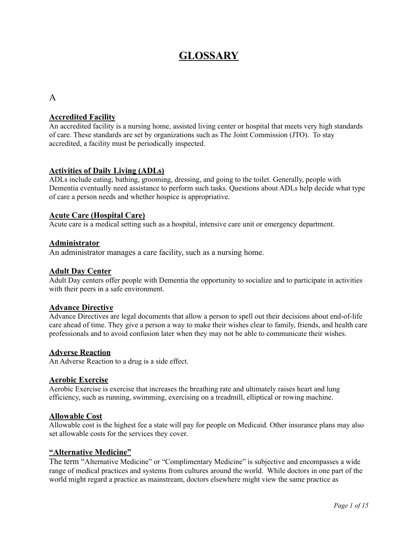# **GLOSSARY**

## A

## **Accredited Facility**

An accredited facility is a nursing home, assisted living center or hospital that meets very high standards of care. These standards are set by organizations such as The Joint Commission (JTO). To stay accredited, a facility must be periodically inspected.

## **Activities of Daily Living (ADLs)**

ADLs include eating, bathing, grooming, dressing, and going to the toilet. Generally, people with Dementia eventually need assistance to perform such tasks. Questions about ADLs help decide what type of care a person needs and whether hospice is appropriative.

## **Acute Care (Hospital Care)**

Acute care is a medical setting such as a hospital, intensive care unit or emergency department.

## **Administrator**

An administrator manages a care facility, such as a nursing home.

#### **Adult Day Center**

Adult Day centers offer people with Dementia the opportunity to socialize and to participate in activities with their peers in a safe environment.

## **Advance Directive**

Advance Directives are legal documents that allow a person to spell out their decisions about end-of-life care ahead of time. They give a person a way to make their wishes clear to family, friends, and health care professionals and to avoid confusion later when they may not be able to communicate their wishes.

#### **Adverse Reaction**

An Adverse Reaction to a drug is a side effect.

#### **Aerobic Exercise**

Aerobic Exercise is exercise that increases the breathing rate and ultimately raises heart and lung efficiency, such as running, swimming, exercising on a treadmill, elliptical or rowing machine.

#### **Allowable Cost**

Allowable cost is the highest fee a state will pay for people on Medicaid. Other insurance plans may also set allowable costs for the services they cover.

#### **"Alternative Medicine"**

The term "Alternative Medicine" or "Complimentary Medicine" is subjective and encompasses a wide range of medical practices and systems from cultures around the world. While doctors in one part of the world might regard a practice as mainstream, doctors elsewhere might view the same practice as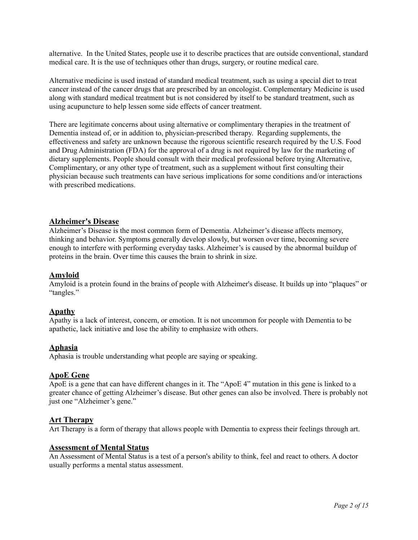alternative. In the United States, people use it to describe practices that are outside conventional, standard medical care. It is the use of techniques other than drugs, surgery, or routine medical care.

Alternative medicine is used instead of standard medical treatment, such as using a special diet to treat cancer instead of the cancer drugs that are prescribed by an oncologist. Complementary Medicine is used along with standard medical treatment but is not considered by itself to be standard treatment, such as using acupuncture to help lessen some side effects of cancer treatment.

There are legitimate concerns about using alternative or complimentary therapies in the treatment of Dementia instead of, or in addition to, physician-prescribed therapy. Regarding supplements, the effectiveness and safety are unknown because the rigorous scientific research required by the U.S. Food and Drug Administration (FDA) for the approval of a drug is not required by law for the marketing of dietary supplements. People should consult with their medical professional before trying Alternative, Complimentary, or any other type of treatment, such as a supplement without first consulting their physician because such treatments can have serious implications for some conditions and/or interactions with prescribed medications.

## **Alzheimer's Disease**

Alzheimer's Disease is the most common form of Dementia. Alzheimer's disease affects memory, thinking and behavior. Symptoms generally develop slowly, but worsen over time, becoming severe enough to interfere with performing everyday tasks. Alzheimer's is caused by the abnormal buildup of proteins in the brain. Over time this causes the brain to shrink in size.

## **Amyloid**

Amyloid is a protein found in the brains of people with [Alzheimer's](https://www.webmd.com/alzheimers/default.htm) disease. It builds up into "plaques" or "tangles."

## **[Apathy](https://www.webmd.com/mental-health/what-is-apathy)**

Apathy is a lack of interest, concern, or emotion. It is not uncommon for people with Dementia to be apathetic, lack initiative and lose the ability to emphasize with others.

## **[Aphasia](https://www.webmd.com/brain/aphasia-causes-symptoms-types-treatments)**

Aphasia is trouble understanding what people are saying or speaking.

## **ApoE Gene**

ApoE is a gene that can have different changes in it. The "ApoE 4" mutation in this gene is linked to a greater chance of getting Alzheimer's disease. But other genes can also be involved. There is probably not just one "Alzheimer's gene."

#### **Art [Therapy](https://www.webmd.com/depression/ss/slideshow-therapy-myths-and-facts)**

Art Therapy is a form of therapy that allows people with [Dementia](https://www.webmd.com/alzheimers/types-dementia) to express their feelings through art.

## **Assessment of Mental Status**

An Assessment of Mental Status is a test of a person's ability to think, feel and react to others. A doctor usually performs a mental status assessment.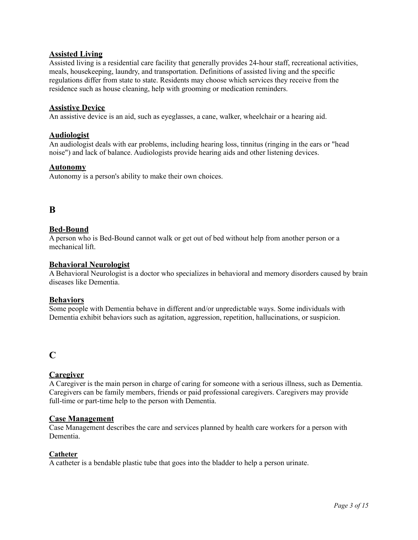## **Assisted Living**

Assisted living is a residential care facility that generally provides 24-hour staff, recreational activities, meals, housekeeping, laundry, and transportation. Definitions of assisted living and the specific regulations differ from state to state. Residents may choose which services they receive from the residence such as house cleaning, help with grooming or medication reminders.

## **Assistive Device**

An assistive device is an aid, such as eyeglasses, a cane, walker, wheelchair or a hearing aid.

## **Audiologist**

An audiologist deals with ear problems, including hearing loss, tinnitus (ringing in the ears or "head noise") and lack of balance. Audiologists provide hearing aids and other listening devices.

## **Autonomy**

Autonomy is a person's ability to make their own choices.

## **B**

## **Bed-Bound**

A person who is Bed-Bound cannot walk or get out of bed without help from another person or a mechanical lift.

## **Behavioral [Neurologist](https://www.webmd.com/brain/neurologist-facts)**

A Behavioral Neurologist is a doctor who specializes in behavioral and memory disorders caused by brain diseases like Dementia.

## **Behaviors**

Some people with Dementia behave in different and/or unpredictable ways. Some individuals with Dementia exhibit behaviors such as agitation, aggression, repetition, hallucinations, or suspicion.

## **C**

## **Caregiver**

A Caregiver is the main person in charge of caring for someone with a serious illness, such as Dementia. Caregivers can be family members, friends or paid professional caregivers. Caregivers may provide full-time or part-time help to the person with Dementia.

## **Case Management**

Case Management describes the care and services planned by health care workers for a person with Dementia.

## **Catheter**

A catheter is a bendable plastic tube that goes into the bladder to help a person urinate.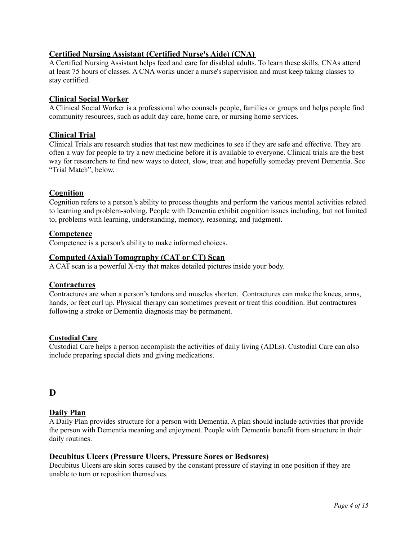## **Certified Nursing Assistant (Certified Nurse's Aide) (CNA)**

A Certified Nursing Assistant helps feed and care for disabled adults. To learn these skills, CNAs attend at least 75 hours of classes. A CNA works under a nurse's supervision and must keep taking classes to stay certified.

## **[Clinical Social Worker](https://www.webmd.com/mental-health/guide-to-psychiatry-and-counseling)**

A Clinical Social Worker is a professional who counsels people, families or groups and helps people find community resources, such as adult day [care](https://www.webmd.com/baby/choosing-child-care), home care, or nursing home services.

## **Clinical Trial**

[Clinical](https://www.webmd.com/a-to-z-guides/clincial-trial-guide-patients) Trials are research studies that test new medicines to see if they are safe and effective. They are often a way for people to try a new medicine before it is available to everyone. Clinical trials are the best way for researchers to find new ways to detect, slow, treat and hopefully someday prevent Dementia. See "Trial Match", below.

## **Cognition**

Cognition refers to a person's ability to process thoughts and perform the various mental activities related to learning and problem-solving. People with Dementia exhibit cognition issues including, but not limited to, problems with learning, understanding, memory, reasoning, and judgment.

## **Competence**

Competence is a person's ability to make informed choices.

## **Computed (Axial) Tomography (CAT or CT) Scan**

A CAT scan is a powerful X-ray that makes detailed pictures inside your body.

## **Contractures**

Contractures are when a person's tendons and muscles shorten. Contractures can make the knees, arms, hands, or feet curl up. Physical therapy can sometimes prevent or treat this condition. But contractures following a stroke or Dementia diagnosis may be permanent.

## **Custodial Care**

Custodial Care helps a person accomplish the activities of daily living (ADLs). Custodial Care can also include preparing special diets and giving medications.

## **D**

## **Daily Plan**

A Daily Plan provides structure for a person with Dementia. A plan should include activities that provide the person with Dementia meaning and enjoyment. People with Dementia benefit from structure in their daily routines.

## **Decubitus Ulcers (Pressure Ulcers, Pressure Sores or Bedsores)**

Decubitus Ulcers are skin sores caused by the constant pressure of staying in one position if they are unable to turn or reposition themselves.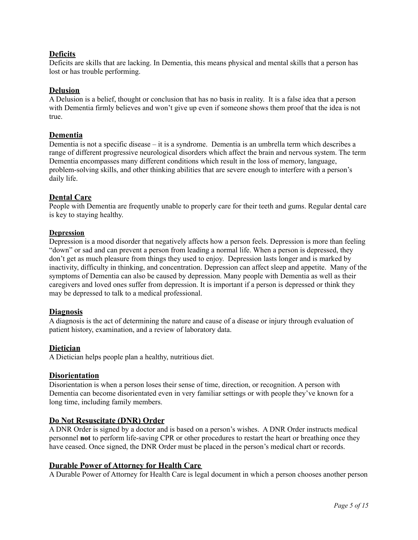## **Deficits**

Deficits are skills that are lacking. In Dementia, this means physical and mental skills that a person has lost or has trouble performing.

## **[Delusion](https://www.webmd.com/schizophrenia/guide/delusional-disorder)**

A Delusion is a belief, thought or conclusion that has no basis in reality. It is a false idea that a person with Dementia firmly believes and won't give up even if someone shows them proof that the idea is not true.

## **Dementia**

Dementia is not a specific disease – it is a syndrome. Dementia is an umbrella term which describes a range of different progressive neurological disorders which affect the brain and nervous system. The term Dementia encompasses many different conditions which result in the loss of memory, language, problem-solving skills, and other thinking abilities that are severe enough to interfere with a person's daily life.

## **Dental Care**

People with Dementia are frequently unable to properly care for their teeth and gums. Regular dental care is key to staying healthy.

## **[Depression](https://www.webmd.com/depression/default.htm)**

Depression is a mood disorder that negatively affects how a person feels. Depression is more than feeling "down" or sad and can prevent a person from leading a normal life. When a person is depressed, they don't get as much pleasure from things they used to enjoy. Depression lasts longer and is marked by inactivity, difficulty in thinking, and concentration. Depression can affect [sleep](https://www.webmd.com/sleep-disorders/default.htm) and appetite. Many of the symptoms of Dementia can also be caused by depression. Many people with Dementia as well as their caregivers and loved ones suffer from depression. It is important if a person is depressed or think they may be depressed to talk to a medical professional.

## **Diagnosis**

A diagnosis is the act of determining the nature and cause of a disease or injury through evaluation of patient history, examination, and a review of laboratory data.

## **Dietician**

A Dietician helps people plan a healthy, nutritious diet.

## **Disorientation**

Disorientation is when a person loses their sense of time, direction, or recognition. A person with Dementia can become disorientated even in very familiar settings or with people they've known for a long time, including family members.

## **Do Not Resuscitate (DNR) Order**

A DNR Order is signed by a doctor and is based on a person's wishes. A DNR Order instructs medical personnel **not** to perform life-saving CPR or other procedures to restart the heart or breathing once they have ceased. Once signed, the DNR Order must be placed in the person's medical chart or records.

## **Durable Power of Attorney for Health Care**

A Durable Power of Attorney for Health Care is legal document in which a person chooses another person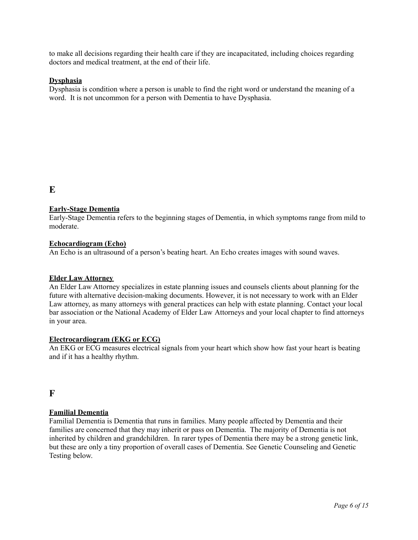to make all decisions regarding their health care if they are incapacitated, including choices regarding doctors and medical treatment, at the end of their life.

### **Dysphasia**

Dysphasia is condition where a person is unable to find the right word or understand the meaning of a word. It is not uncommon for a person with Dementia to have Dysphasia.

## **E**

## **Early-Stage Dementia**

Early-Stage Dementia refers to the beginning stages of Dementia, in which symptoms range from mild to moderate.

#### **[Echocardiogram](https://www.webmd.com/heart-disease/echocardiogram) (Echo)**

An Echo is an [ultrasound](https://www.webmd.com/a-to-z-guides/what-is-an-ultrasound) of a person's beating [heart.](https://www.webmd.com/heart/picture-of-the-heart) An Echo creates images with sound waves.

#### **Elder Law Attorney**

An Elder Law Attorney specializes in estate planning issues and counsels clients about planning for the future with alternative decision-making documents. However, it is not necessary to work with an Elder Law attorney, as many attorneys with general practices can help with estate planning. Contact your local bar association or the National Academy of Elder Law [Attorneys](http://www.naela.org/) and your local [chapter](https://www.alz.org/local_resources/find_your_local_chapter) to find attorneys in your area.

#### **[Electrocardiogram](https://www.webmd.com/heart-disease/electrocardiogram) [\(EKG](https://www.webmd.com/heart-disease/electrocardiogram-ekgs) or ECG)**

An EKG or ECG measures electrical signals from your [heart](https://www.webmd.com/heart-disease/rm-quiz-know-heart) which show how fast your heart is beating and if it has a healthy rhythm.

## **F**

## **Familial Dementia**

Familial Dementia is Dementia that runs in families. Many people affected by Dementia and their families are concerned that they may inherit or pass on Dementia. The majority of Dementia is not inherited by children and grandchildren. In rarer types of Dementia there may be a strong genetic link, but these are only a tiny proportion of overall cases of Dementia. See Genetic Counseling and Genetic Testing below.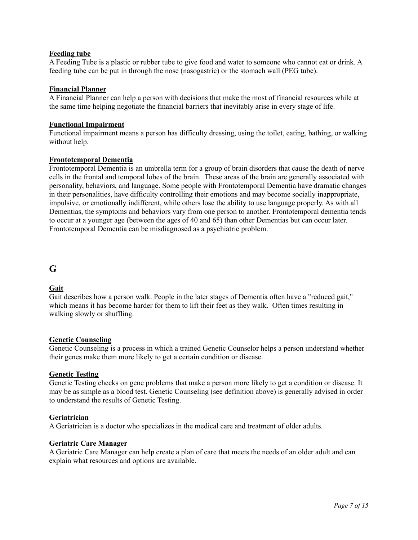## **Feeding tube**

A Feeding Tube is a plastic or rubber tube to give food and water to someone who cannot eat or drink. A feeding tube can be put in through the nose (nasogastric) or the stomach wall (PEG tube).

#### **Financial Planner**

A Financial Planner can help a person with decisions that make the most of financial resources while at the same time helping negotiate the financial barriers that inevitably arise in every stage of life.

#### **Functional Impairment**

Functional impairment means a person has difficulty dressing, using the toilet, eating, bathing, or walking without help.

#### **Frontotemporal Dementia**

Frontotemporal Dementia is an umbrella term for a group of brain disorders that cause the death of nerve cells in the frontal and temporal lobes of the brain. These areas of the brain are generally associated with personality, behaviors, and language. Some people with Frontotemporal Dementia have dramatic changes in their personalities, have difficulty controlling their emotions and may become socially inappropriate, impulsive, or emotionally indifferent, while others lose the ability to use language properly. As with all Dementias, the symptoms and behaviors vary from one person to another. Frontotemporal dementia tends to occur at a younger age (between the ages of 40 and 65) than other Dementias but can occur later. Frontotemporal Dementia can be misdiagnosed as a psychiatric problem.

## **G**

## **Gait**

Gait describes how a person walk. People in the later stages of Dementia often have a "reduced gait," which means it has become harder for them to lift their feet as they walk. Often times resulting in walking slowly or shuffling.

## **Genetic Counseling**

Genetic Counseling is a process in which a trained Genetic Counselor helps a person understand whether their genes make them more likely to get a certain condition or disease.

## **[Genetic](https://www.webmd.com/baby/genetic-testing) Testing**

Genetic Testing checks on gene problems that make a person more likely to get a condition or disease. It may be as simple as a [blood](https://www.webmd.com/heart/anatomy-picture-of-blood) test. Genetic Counseling (see definition above) is generally advised in order to understand the results of Genetic Testing.

#### **Geriatrician**

A Geriatrician is a doctor who specializes in the medical care and treatment of older adults.

#### **Geriatric Care Manager**

A Geriatric Care Manager can help create a plan of care that meets the needs of an older adult and can explain what resources and options are available.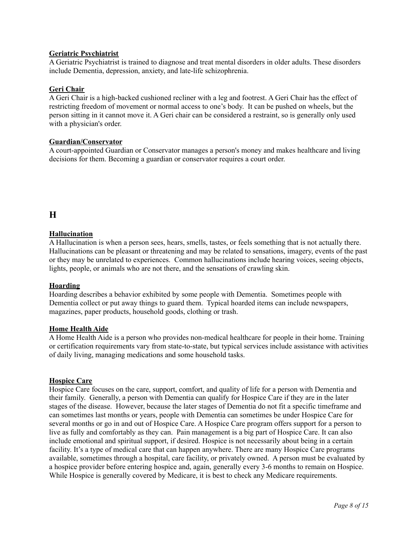## **Geriatric Psychiatrist**

A Geriatric Psychiatrist is trained to diagnose and treat mental disorders in older adults. These disorders include Dementia, depression, anxiety, and late-life schizophrenia.

#### **Geri Chair**

A Geri Chair is a high-backed cushioned recliner with a leg and footrest. A Geri Chair has the effect of restricting freedom of movement or normal access to one's body. It can be pushed on wheels, but the person sitting in it cannot move it. A Geri chair can be considered a restraint, so is generally only used with a physician's order.

#### **Guardian/Conservator**

A court-appointed Guardian or Conservator manages a person's money and makes healthcare and living decisions for them. Becoming a guardian or conservator requires a court order.

## **H**

## **[Hallucination](https://www.webmd.com/brain/why-am-i-seeing-things)**

A Hallucination is when a person sees, hears, smells, tastes, or feels something that is not actually there. Hallucinations can be pleasant or threatening and may be related to sensations, imagery, events of the past or they may be unrelated to experiences. Common hallucinations include hearing voices, seeing objects, lights, people, or animals who are not there, and the sensations of crawling skin.

#### **[Hoarding](https://www.webmd.com/mental-health/obsessive-compulsive-disorder)**

Hoarding describes a behavior exhibited by some people with Dementia. Sometimes people with Dementia collect or put away things to guard them. Typical hoarded items can include newspapers, magazines, paper products, household goods, clothing or trash.

#### **Home Health Aide**

A Home Health Aide is a person who provides non-medical healthcare for people in their home. Training or certification requirements vary from state-to-state, but typical services include assistance with activities of daily living, managing medications and some household tasks.

## **Hospice Care**

Hospice Care focuses on the care, support, comfort, and quality of life for a person with Dementia and their family. Generally, a person with Dementia can qualify for Hospice Care if they are in the later stages of the disease. However, because the later stages of Dementia do not fit a specific timeframe and can sometimes last months or years, people with Dementia can sometimes be under Hospice Care for several months or go in and out of Hospice Care. A Hospice Care program offers support for a person to live as fully and comfortably as they can. Pain [management](https://www.webmd.com/pain-management/default.htm) is a big part of Hospice Care. It can also include emotional and spiritual support, if desired. [Hospice](https://www.webmd.com/multiple-sclerosis/ms-end-stage-hospice-care) is not necessarily about being in a certain facility. It's a type of medical care that can happen anywhere. There are many Hospice Care programs available, sometimes through a hospital, care facility, or privately owned. A person must be evaluated by a hospice provider before entering hospice and, again, generally every 3-6 months to remain on Hospice. While Hospice is generally covered by Medicare, it is best to check any Medicare requirements.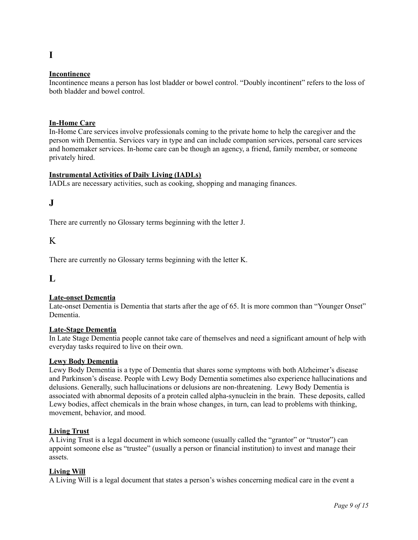## **[Incontinence](https://www.webmd.com/urinary-incontinence-oab/)**

**I**

Incontinence means a person has lost [bladder](https://www.webmd.com/urinary-incontinence-oab/picture-of-the-bladder) or bowel control. "Doubly incontinent" refers to the loss of both bladder and bowel control.

### **In-Home Care**

In-Home Care services involve professionals coming to the private home to help the caregiver and the person with Dementia. Services vary in type and can include companion services, personal care services and homemaker services. In-home care can be though an agency, a friend, family member, or someone privately hired.

#### **Instrumental Activities of Daily Living (IADLs)**

IADLs are necessary activities, such as cooking, shopping and managing finances.

## **J**

There are currently no Glossary terms beginning with the letter J.

## K

There are currently no Glossary terms beginning with the letter K.

**L**

## **Late-onset Dementia**

Late-onset Dementia is Dementia that starts after the age of 65. It is more common than "Younger Onset" Dementia.

#### **Late-Stage Dementia**

In Late Stage Dementia people cannot take care of themselves and need a significant amount of help with everyday tasks required to live on their own.

#### **Lewy Body Dementia**

Lewy Body Dementia is a type of Dementia that shares some symptoms with both Alzheimer's disease and Parkinson's disease. People with Lewy Body Dementia sometimes also experience hallucinations and delusions. Generally, such hallucinations or delusions are non-threatening. Lewy Body Dementia is associated with abnormal deposits of a protein called alpha-synuclein in the brain. These deposits, called Lewy bodies, affect chemicals in the brain whose changes, in turn, can lead to problems with thinking, movement, behavior, and mood.

#### **Living Trust**

A Living Trust is a legal document in which someone (usually called the "grantor" or "trustor") can appoint someone else as "trustee" (usually a person or financial institution) to invest and manage their assets.

## **Living Will**

A Living Will is a legal document that states a person's wishes concerning medical care in the event a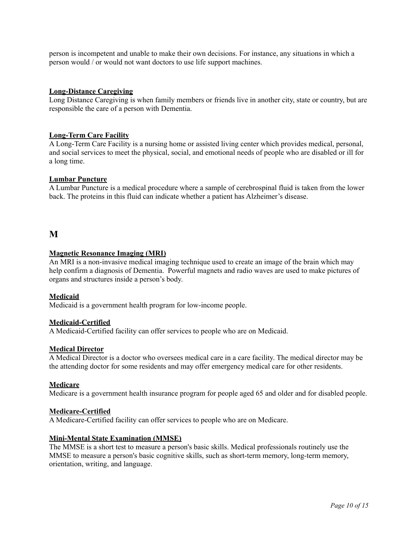person is incompetent and unable to make their own decisions. For instance, any situations in which a person would / or would not want doctors to use life [support](https://www.webmd.com/palliative-care/what-is-life-support) machines.

#### **Long-Distance Caregiving**

Long Distance Caregiving is when family members or friends live in another city, state or country, but are responsible the care of a person with Dementia.

#### **Long-Term Care Facility**

A Long-Term Care Facility is a nursing home or assisted living center which provides medical, personal, and social services to meet the physical, social, and emotional needs of people who are disabled or ill for a long time.

#### **Lumbar Puncture**

A Lumbar Puncture is a medical procedure where a sample of cerebrospinal fluid is taken from the lower back. The proteins in this fluid can indicate whether a patient has Alzheimer's disease.

## **M**

#### **Magnetic Resonance Imaging (MRI)**

An MRI is a non-invasive medical imaging technique used to create an image of the brain which may help confirm a diagnosis of Dementia. Powerful magnets and radio waves are used to make pictures of organs and structures inside a person's body.

#### **Medicaid**

Medicaid is a government health program for low-income people.

#### **Medicaid-Certified**

A Medicaid-Certified facility can offer services to people who are on Medicaid.

#### **Medical Director**

A Medical Director is a doctor who oversees medical care in a care facility. The medical director may be the attending doctor for some residents and may offer emergency medical care for other residents.

#### **Medicare**

Medicare is a government health insurance program for people aged 65 and older and for disabled people.

#### **Medicare-Certified**

A Medicare-Certified facility can offer services to people who are on Medicare.

## **Mini-Mental State Examination (MMSE)**

The MMSE is a short test to measure a person's basic skills. Medical professionals routinely use the MMSE to measure a person's basic cognitive skills, such as short-term memory, long-term memory, orientation, writing, and language.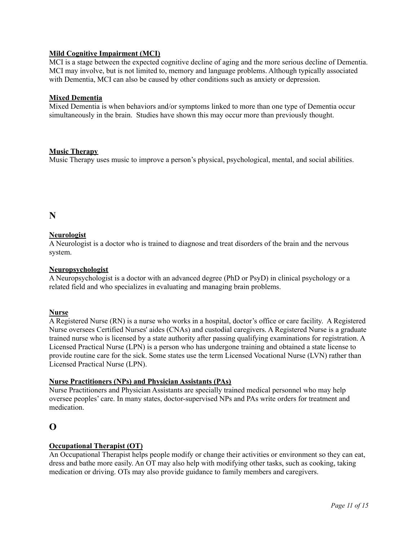## **Mild Cognitive Impairment (MCI)**

MCI is a stage between the expected cognitive decline of aging and the more serious decline of Dementia. MCI may involve, but is not limited to, memory and language problems. Although typically associated with Dementia, MCI can also be caused by other conditions such as anxiety or depression.

#### **Mixed Dementia**

Mixed Dementia is when behaviors and/or symptoms linked to more than one type of Dementia occur simultaneously in the brain. Studies have shown this may occur more than previously thought.

#### **Music [Therapy](https://www.webmd.com/balance/features/music-therapy)**

Music Therapy uses [music](https://www.webmd.com/balance/rm-quiz-health-benefits-music) to improve a person's physical, psychological, mental, and social abilities.

## **N**

## **Neurologist**

A Neurologist is a doctor who is trained to diagnose and treat disorders of the brain and the [nervous](https://www.webmd.com/brain/default.htm) [system.](https://www.webmd.com/brain/default.htm)

### **Neuropsychologist**

A Neuropsychologist is a doctor with an advanced degree (PhD or PsyD) in clinical psychology or a related field and who specializes in evaluating and managing [brain](https://www.webmd.com/brain/ss/slideshow-concussions-brain-injuries) problems.

### **Nurse**

A Registered Nurse (RN) is a nurse who works in a hospital, doctor's office or care facility. A Registered Nurse oversees Certified Nurses' aides (CNAs) and custodial caregivers. A Registered Nurse is a graduate trained nurse who is licensed by a state authority after passing qualifying examinations for registration. A Licensed Practical Nurse (LPN) is a person who has undergone training and obtained a state license to provide routine care for the sick. Some states use the term Licensed Vocational Nurse (LVN) rather than Licensed Practical Nurse (LPN).

#### **Nurse Practitioners (NPs) and Physician Assistants (PAs)**

Nurse Practitioners and Physician Assistants are specially trained medical personnel who may help oversee peoples' care. In many states, doctor-supervised NPs and PAs write orders for treatment and medication.

## **O**

## **Occupational Therapist (OT)**

An Occupational Therapist helps people modify or change their activities or environment so they can eat, dress and bathe more easily. An OT may also help with modifying other tasks, such as cooking, taking medication or driving. OTs may also provide guidance to family members and caregivers.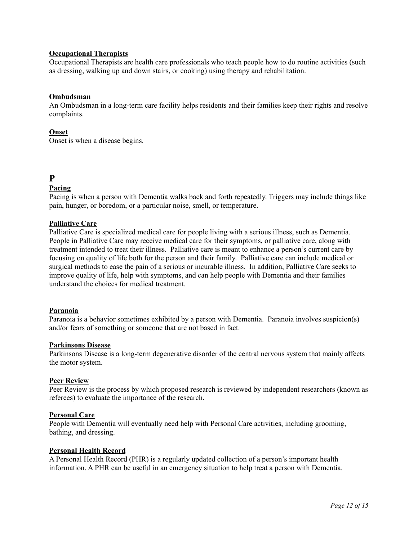### **Occupational Therapists**

Occupational Therapists are health care professionals who teach people how to do routine activities (such as dressing, walking up and down stairs, or cooking) using therapy and rehabilitation.

#### **Ombudsman**

An Ombudsman in a long-term care facility helps residents and their families keep their rights and resolve complaints.

#### **Onset**

Onset is when a disease begins.

## **P**

## **Pacing**

Pacing is when a person with Dementia walks back and forth repeatedly. Triggers may include things like pain, [hunger,](https://www.webmd.com/diet/features/top-10-ways-to-deal-with-hunger) or boredom, or a particular noise, smell, or temperature.

#### **Palliative Care**

Palliative Care is specialized medical care for people living with a serious illness, such as Dementia. People in Palliative Care may receive medical care for their symptoms, or palliative care, along with treatment intended to treat their illness. Palliative care is meant to enhance a person's current care by focusing on quality of life both for the person and their family. Palliative care can include medical or surgical methods to ease the pain of a serious or incurable illness. In addition, Palliative Care seeks to improve quality of life, help with symptoms, and can help people with Dementia and their families understand the choices for medical treatment.

#### **[Paranoia](https://www.webmd.com/mental-health/why-paranoid)**

Paranoia is a behavior sometimes exhibited by a person with Dementia. Paranoia involves suspicion(s) and/or fears of something or someone that are not based in fact.

#### **Parkinsons Disease**

Parkinsons Disease is a long-term degenerative disorder of the central nervous system that mainly affects the motor system.

#### **Peer Review**

Peer Review is the process by which proposed research is reviewed by independent researchers (known as referees) to evaluate the importance of the research.

#### **Personal Care**

People with Dementia will eventually need help with Personal Care activities, including grooming, bathing, and dressing.

#### **Personal Health Record**

A Personal Health Record (PHR) is a regularly updated collection of a person's important health information. A PHR can be useful in an emergency situation to help treat a person with Dementia.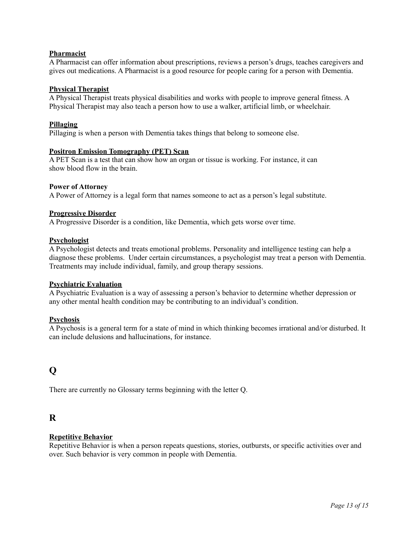## **Pharmacist**

A Pharmacist can offer information about prescriptions, reviews a person's drugs, teaches caregivers and gives out medications. A Pharmacist is a good resource for people caring for a person with Dementia.

#### **Physical Therapist**

A Physical Therapist treats physical disabilities and works with people to improve general fitness. A Physical Therapist may also teach a person how to use a walker, artificial limb, or wheelchair.

#### **Pillaging**

Pillaging is when a person with Dementia takes things that belong to someone else.

#### **Positron Emission [Tomography](https://www.webmd.com/cancer/positron-emission-tomography) (PET) Scan**

A PET Scan is a test that can show how an organ or tissue is working. For instance, it can show [blood](https://www.webmd.com/a-to-z-guides/rm-quiz-blood-basics) flow in the [brain.](https://www.webmd.com/brain/rm-quiz-amazing-brain)

#### **Power of Attorney**

A Power of Attorney is a legal form that names someone to act as a person's legal substitute.

#### **Progressive Disorder**

A Progressive Disorder is a condition, like Dementia, which gets worse over time.

#### **Psychologist**

A Psychologist detects and treats emotional problems. Personality and intelligence testing can help a diagnose these problems. Under certain circumstances, a psychologist may treat a person with Dementia. Treatments may include individual, family, and group therapy sessions.

#### **Psychiatric Evaluation**

A Psychiatric Evaluation is a way of assessing a person's behavior to determine whether depression or any other mental health condition may be contributing to an individual's condition.

#### **[Psychosis](https://www.webmd.com/schizophrenia/guide/what-is-psychosis)**

A Psychosis is a general term for a state of mind in which thinking becomes irrational and/or disturbed. It can include delusions and [hallucinations,](https://www.webmd.com/schizophrenia/what-are-hallucinations) for instance.

## **Q**

There are currently no Glossary terms beginning with the letter Q.

## **R**

## **Repetitive Behavior**

Repetitive Behavior is when a person repeats questions, stories, outbursts, or specific activities over and over. Such behavior is very common in people with Dementia.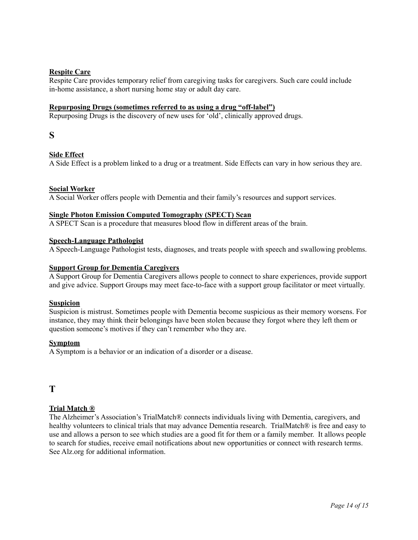## **Respite Care**

Respite Care provides temporary relief from caregiving tasks for caregivers. Such care could include in-home assistance, a short nursing home stay or adult day care.

## **Repurposing Drugs (sometimes referred to as using a drug "off-label")**

Repurposing Drugs is the discovery of new uses for 'old', clinically approved drugs.

## **S**

## **Side Effect**

A Side Effect is a problem linked to a drug or a treatment. Side Effects can vary in how serious they are.

## **Social Worker**

A Social Worker offers people with Dementia and their family's resources and support services.

#### **Single Photon Emission Computed Tomography (SPECT) Scan**

A SPECT Scan is a procedure that measures blood flow in different areas of the [brain](https://www.webmd.com/brain/video/brain-training).

#### **Speech-Language Pathologist**

A Speech-Language Pathologist tests, diagnoses, and treats people with speech and swallowing problems.

## **Support Group for Dementia Caregivers**

A Support Group for Dementia Caregivers allows people to connect to share experiences, provide support and give advice. Support Groups may meet face-to-face with a support group facilitator or meet virtually.

#### **Suspicion**

Suspicion is mistrust. Sometimes people with Dementia become suspicious as their memory worsens. For instance, they may think their belongings have been stolen because they forgot where they left them or question someone's motives if they can't remember who they are.

#### **Symptom**

A Symptom is a behavior or an indication of a disorder or a disease.

## **T**

## **Trial Match ®**

The Alzheimer's Association's TrialMatch® connects individuals living with Dementia, caregivers, and healthy volunteers to clinical trials that may advance Dementia research. TrialMatch® is free and easy to use and allows a person to see which studies are a good fit for them or a family member. It allows people to search for studies, receive email notifications about new opportunities or connect with research terms. See Alz.org for additional information.